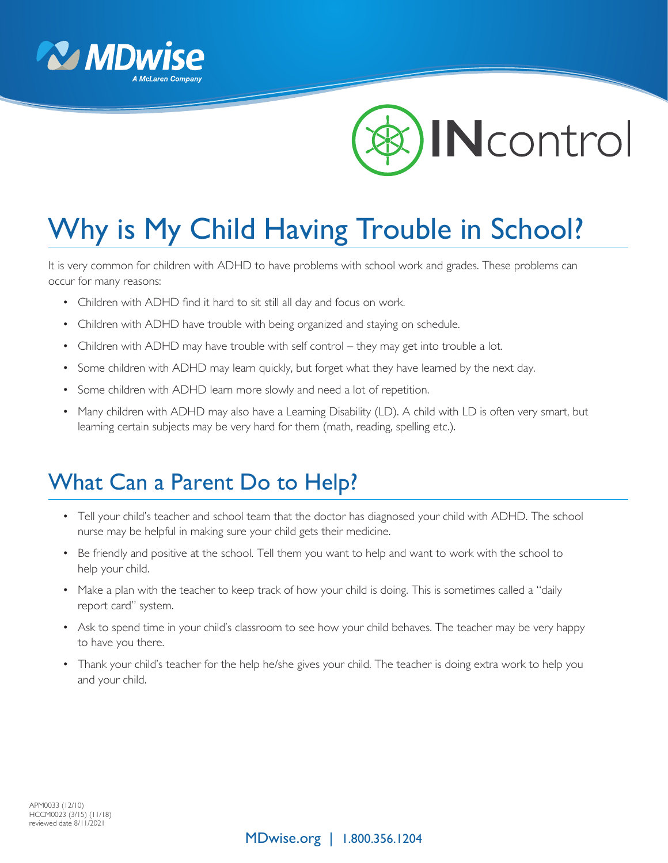



## Why is My Child Having Trouble in School?

It is very common for children with ADHD to have problems with school work and grades. These problems can occur for many reasons:

- Children with ADHD find it hard to sit still all day and focus on work.
- Children with ADHD have trouble with being organized and staying on schedule.
- Children with ADHD may have trouble with self control they may get into trouble a lot.
- Some children with ADHD may learn quickly, but forget what they have learned by the next day.
- Some children with ADHD learn more slowly and need a lot of repetition.
- Many children with ADHD may also have a Learning Disability (LD). A child with LD is often very smart, but learning certain subjects may be very hard for them (math, reading, spelling etc.).

## What Can a Parent Do to Help?

- Tell your child's teacher and school team that the doctor has diagnosed your child with ADHD. The school nurse may be helpful in making sure your child gets their medicine.
- Be friendly and positive at the school. Tell them you want to help and want to work with the school to help your child.
- Make a plan with the teacher to keep track of how your child is doing. This is sometimes called a "daily report card" system.
- Ask to spend time in your child's classroom to see how your child behaves. The teacher may be very happy to have you there.
- Thank your child's teacher for the help he/she gives your child. The teacher is doing extra work to help you and your child.